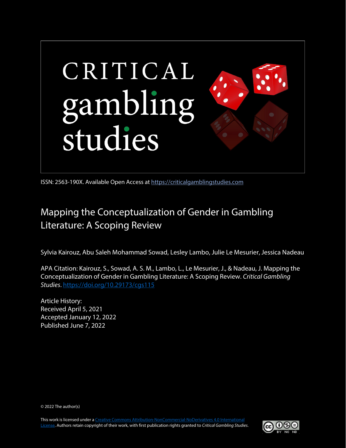

ISSN: 2563-190X. Available Open Access at [https://criticalgamblingstudies.com](https://criticalgamblingstudies.com/)

# Mapping the Conceptualization of Gender in Gambling Literature: A Scoping Review

Sylvia Kairouz, Abu Saleh Mohammad Sowad, Lesley Lambo, Julie Le Mesurier, Jessica Nadeau

APA Citation: Kairouz, S., Sowad, A. S. M., Lambo, L., Le Mesurier, J., & Nadeau, J. Mapping the Conceptualization of Gender in Gambling Literature: A Scoping Review. *Critical Gambling Studies*[. https://doi.org/10.29173/cgs115](https://doi.org/10.29173/cgs115)

Article History: Received April 5, 2021 Accepted January 12, 2022 Published June 7, 2022

© 2022 The author(s)

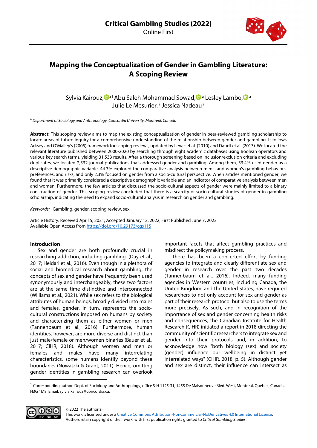

# **Mapping the Conceptualization of Gender in Gambling Literature: A Scoping Review**

Sylvia Kairouz, <sup>Da[1](#page-1-0)</sup> Abu Saleh Mohammad Sowad[,](https://orcid.org/0000-0003-0201-9381) D<sup>a</sup> Lesley Lambo, D<sup>a</sup> Julie Le Mesurier,<sup>a</sup> Jessica Nadeau<sup>a</sup>

<sup>a</sup> *Department of Sociology and Anthropology, Concordia University, Montreal, Canada* 

**Abstract:** This scoping review aims to map the existing conceptualization of gender in peer-reviewed gambling scholarship to locate areas of future inquiry for a comprehensive understanding of the relationship between gender and gambling. It follows Arksey and O'Malley's (2005) framework for scoping reviews, updated by Levac et al. (2010) and Daudt et al. (2013). We located the relevant literature published between 2000-2020 by searching through eight academic databases using Boolean operators and various key search terms, yielding 31,533 results. After a thorough screening based on inclusion/exclusion criteria and excluding duplicates, we located 2,532 journal publications that addressed gender and gambling. Among them, 53.4% used gender as a descriptive demographic variable, 44.3% explored the comparative analysis between men's and women's gambling behaviors, preferences, and risks, and only 2.3% focused on gender from a socio-cultural perspective. When articles mentioned gender, we found that it was primarily considered a descriptive demographic variable and an indicator of comparative analysis between men and women. Furthermore, the few articles that discussed the socio-cultural aspects of gender were mainly limited to a binary construction of gender. This scoping review concluded that there is a scarcity of socio-cultural studies of gender in gambling scholarship, indicating the need to expand socio-cultural analysis in research on gender and gambling.

*Keywords:* Gambling, gender, scoping review, sex

Article History: Received April 5, 2021; Accepted January 12, 2022; First Published June 7, 2022 Available Open Access from <https://doi.org/10.29173/cgs115>

## **Introduction**

Sex and gender are both profoundly crucial in researching addiction, including gambling. (Day et al., 2017; Heidari et al., 2016). Even though in a plethora of social and biomedical research about gambling, the concepts of sex and gender have frequently been used synonymously and interchangeably, these two factors are at the same time distinctive and interconnected (Williams et al., 2021). While sex refers to the biological attributes of human beings, broadly divided into males and females, gender, in turn, represents the sociocultural constructions imposed on humans by society and characterizing them as either women or men (Tannenbaum et al., 2016). Furthermore, human identities, however, are more diverse and distinct than just male/female or men/women binaries (Bauer et al., 2017; CIHR, 2018). Although women and men or females and males have many interrelating characteristics, some humans identify beyond these boundaries (Nowatzki & Grant, 2011). Hence, omitting gender identities in gambling research can overlook important facets that affect gambling practices and misdirect the policymaking process.

There has been a concerted effort by funding agencies to integrate and clearly differentiate sex and gender in research over the past two decades (Tannenbaum et al., 2016). Indeed, many funding agencies in Western countries, including Canada, the United Kingdom, and the United States, have required researchers to not only account for sex and gender as part of their research protocol but also to use the terms more precisely. As such, and in recognition of the importance of sex and gender concerning health risks and consequences, the Canadian Institute for Health Research (CIHR) initiated a report in 2018 directing the community of scientific researchers to integrate sex and gender into their protocols and, in addition, to acknowledge how "both biology (sex) and society (gender) influence our wellbeing in distinct yet interrelated ways" (CIHR, 2018, p. 5). Although gender and sex are distinct, their influence can intersect as

<span id="page-1-0"></span> $1$  Corresponding author. Dept. of Sociology and Anthropology, office S-H 1125-31, 1455 De Maisonneuve Blvd. West, Montreal, Quebec, Canada, H3G 1M8. Email: sylvia.kairouz@concordia.ca.



© 2022 The author(s)

This work is licensed under [a Creative Commons Attribution-NonCommercial-NoDerivatives 4.0 International License.](https://creativecommons.org/licenses/by-nc-nd/4.0/)  Authors retain copyright of their work, with first publication rights granted to *Critical Gambling Studies*.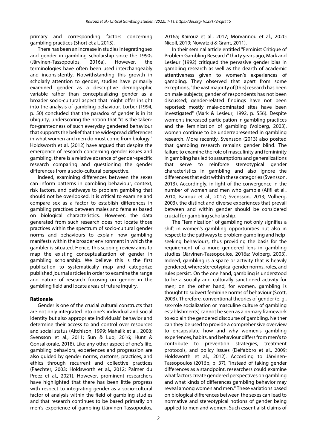primary and corresponding factors concerning gambling practices (Short et al., 2013).

There has been an increase in studies integrating sex and gender in gambling scholarship since the 1990s (Järvinen-Tassopoulos, 2016a). However, the terminologies have often been used interchangeably and inconsistently. Notwithstanding this growth in scholarly attention to gender, studies have primarily examined gender as a descriptive demographic variable rather than conceptualizing gender as a broader socio-cultural aspect that might offer insight into the analysis of gambling behaviour. Lorber (1994, p. 50) concluded that the paradox of gender is in its ubiquity, underscoring the notion that "it is the takenfor-grantedness of such everyday gendered behaviour that supports the belief that the widespread differences in what women and men do must come from biology." Holdsworth et al. (2012) have argued that despite the emergence of research concerning gender issues and gambling, there is a relative absence of gender-specific research comparing and questioning the gender differences from a socio-cultural perspective.

Indeed, examining differences between the sexes can inform patterns in gambling behaviour, context, risk factors, and pathways to problem gambling that should not be overlooked. It is critical to examine and compare sex as a factor to establish differences in gambling practices between males and females based on biological characteristics. However, the data generated from such research does not locate those practices within the spectrum of socio-cultural gender norms and behaviours to explain how gambling manifests within the broader environment in which the gambler is situated. Hence, this scoping review aims to map the existing conceptualization of gender in gambling scholarship. We believe this is the first publication to systematically map and categorize published journal articles in order to examine the range and nature of research focusing on gender in the gambling field and locate areas of future inquiry.

# **Rationale**

Gender is one of the crucial cultural constructs that are not only integrated into one's individual and social identity but also appropriate individuals' behavior and determine their access to and control over resources and social status (Aitchison, 1999; Mahalik et al., 2003; Svensson et al., 2011; Sun & Luo, 2016; Hunt & Gonsalkorale, 2018). Like any other aspect of one's life, gambling behaviors, experiences and progression are also guided by gender norms, customs, practices, and ethics through recurrent and collective practices (Paechter, 2003; Holdsworth et al., 2012; Palmer du Preez et al., 2021). However, prominent researchers have highlighted that there has been little progress with respect to integrating gender as a socio-cultural factor of analysis within the field of gambling studies and that research continues to be based primarily on men's experience of gambling (Järvinen-Tassopoulos, 2016a; Kairouz et al., 2017; Morvannou et al., 2020; Nicoll, 2019; Nowatzki & Grant, 2011).

In their seminal article entitled "Feminist Critique of Problem Gambling Research" thirty years ago, Mark and Lesieur (1992) critiqued the pervasive gender bias in gambling research as well as the dearth of academic attentiveness given to women's experiences of gambling. They observed that apart from some exceptions, "the vast majority of [this] research has been on male subjects; gender of respondents has not been discussed; gender-related findings have not been reported; mostly male-dominated sites have been investigated" (Mark & Lesieur, 1992, p. 556). Despite women's increased participation in gambling practices and the feminization of gambling (Volberg, 2003), women continue to be underrepresented in gambling research. More recently, Svensson (2013) also posited that gambling research remains gender blind. The failure to examine the role of masculinity and femininity in gambling has led to assumptions and generalizations that serve to reinforce stereotypical gender characteristics in gambling and also ignore the differences that exist within these categories (Svensson, 2013). Accordingly, in light of the convergence in the number of women and men who gamble (Afifi et al., 2010; Kairouz et al., 2017; Svensson, 2013; Volberg, 2003), the distinct and diverse experiences that prevail between and within gender should be considered crucial for gambling scholarship.

The "feminization" of gambling not only signifies a shift in women's gambling opportunities but also in respect to the pathways to problem gambling and helpseeking behaviours, thus providing the basis for the requirement of a more gendered lens in gambling studies (Järvinen-Tassopoulos, 2016a; Volberg, 2003). Indeed, gambling is a space or activity that is heavily gendered, where stereotypical gender norms, roles, and rules persist. On the one hand, gambling is understood to be a socially and culturally sanctioned activity for men; on the other hand, for women, gambling is thought to subvert feminine norms of behaviour (Scott, 2003). Therefore, conventional theories of gender (e. g., sex-role socialization or masculine culture of gambling establishments) cannot be seen as a primary framework to explain the gendered discourse of gambling. Neither can they be used to provide a comprehensive overview to encapsulate how and why women's gambling experiences, habits, and behaviour differs from men's to contribute to prevention strategies, treatment protocols, and policy issues (Delfabbro et al., 2009; Holdsworth et al., 2012). According to Järvinen-Tassopoulos (2016b, p. 37), "instead of taking gender differences as a standpoint, researchers could examine what factors create gendered perspectives on gambling and what kinds of differences gambling behavior may reveal among women and men." These variations based on biological differences between the sexes can lead to normative and stereotypical notions of gender being applied to men and women. Such essentialist claims of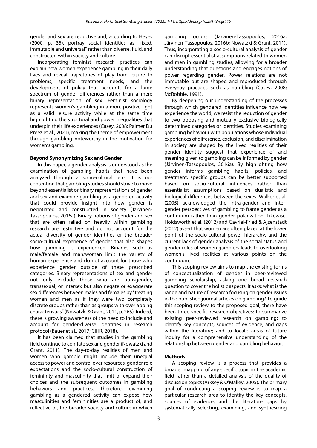gender and sex are reductive and, according to Heyes (2000, p. 35), portray social identities as "fixed, immutable and universal" rather than diverse, fluid, and constructed within society and culture.

Incorporating feminist research practices can explain how women experience gambling in their daily lives and reveal trajectories of play from leisure to problems, specific treatment needs, and the development of policy that accounts for a large spectrum of gender differences rather than a mere binary representation of sex. Feminist sociology represents women's gambling in a more positive light as a valid leisure activity while at the same time highlighting the structural and power inequalities that underpin their life experiences (Casey, 2008; Palmer Du Preez et al., 2021), making the theme of empowerment through gambling noteworthy in the motivation for women's gambling.

## **Beyond Synonymizing Sex and Gender**

In this paper, a gender analysis is understood as the examination of gambling habits that have been analyzed through a socio-cultural lens. It is our contention that gambling studies should strive to move beyond essentialist or binary representations of gender and sex and examine gambling as a gendered activity that could provide insight into how gender is negotiated and constructed in society (Järvinen-Tassopoulos, 2016a). Binary notions of gender and sex that are often relied on heavily within gambling research are restrictive and do not account for the actual diversity of gender identities or the broader socio-cultural experience of gender that also shapes how gambling is experienced. Binaries such as male/female and man/woman limit the variety of human experience and do not account for those who experience gender outside of these prescribed categories. Binary representations of sex and gender not only exclude those who are transgender, transsexual, or intersex but also negate or exaggerate sex differences between males and females by "treating women and men as if they were two completely discrete groups rather than as groups with overlapping characteristics" (Nowatzki & Grant, 2011, p. 265). Indeed, there is growing awareness of the need to include and account for gender-diverse identities in research protocol (Bauer et al., 2017; CIHR, 2018).

It has been claimed that studies in the gambling field continue to conflate sex and gender (Nowatzki and Grant, 2011). The day-to-day realities of men and women who gamble might include their unequal access to power and control over resources, gender role expectations and the socio-cultural construction of femininity and masculinity that limit or expand their choices and the subsequent outcomes in gambling behaviors and practices. Therefore, examining gambling as a gendered activity can expose how masculinities and femininities are a product of, and reflective of, the broader society and culture in which gambling occurs (Järvinen-Tassopoulos, 2016a; Järvinen-Tassopoulos, 2016b; Nowatzki & Grant, 2011). Thus, incorporating a socio-cultural analysis of gender can disrupt essentialist assumptions related to women and men in gambling studies, allowing for a broader understanding that questions and engages notions of power regarding gender. Power relations are not immutable but are shaped and reproduced through everyday practices such as gambling (Casey, 2008; McRobbie, 1991).

By deepening our understanding of the processes through which gendered identities influence how we experience the world, we resist the reduction of gender to two opposing and mutually exclusive biologically determined categories or identities. Studies examining gambling behaviour with populations whose individual experiences of difference, exclusion, and discrimination in society are shaped by the lived realities of their gender identity suggest that experience of and meaning given to gambling can be informed by gender (Järvinen-Tassopoulos, 2016a). By highlighting how gender informs gambling habits, policies, and treatment, specific groups can be better supported based on socio-cultural influences rather than essentialist assumptions based on dualistic and biological differences between the sexes. Walker et al. (2005) acknowledged the intra-gender and intergender perspectives of gambling to frame gender as a continuum rather than gender polarization. Likewise, Holdsworth et al. (2012) and Gavriel-Fried & Ajzenstadt (2012) assert that women are often placed at the lower point of the socio-cultural power hierarchy, and the current lack of gender analysis of the social status and gender roles of women gamblers leads to overlooking women's lived realities at various points on the continuum.

This scoping review aims to map the existing forms of conceptualization of gender in peer-reviewed gambling scholarship, asking one broad research question to cover the holistic aspects. It asks: what is the range and nature of research focusing on gender issues in the published journal articles on gambling? To guide this scoping review to the proposed goal, there have been three specific research objectives: to summarize existing peer-reviewed research on gambling; to identify key concepts, sources of evidence, and gaps within the literature; and to locate areas of future inquiry for a comprehensive understanding of the relationship between gender and gambling behavior.

## **Methods**

A scoping review is a process that provides a broader mapping of any specific topic in the academic field rather than a detailed analysis of the quality of discussion topics (Arksey & O'Malley, 2005). The primary goal of conducting a scoping review is to map a particular research area to identify the key concepts, sources of evidence, and the literature gaps by systematically selecting, examining, and synthesizing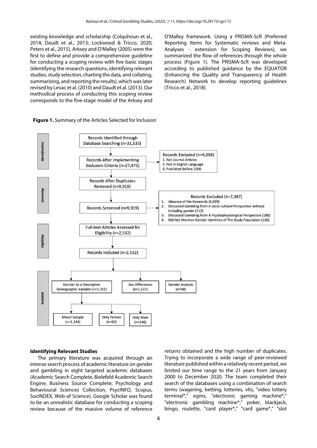existing knowledge and scholarship (Colquhoun et al., 2014; Daudt et al., 2013; Lockwood & Tricco, 2020; Peters et al., 2015). Arksey and O'Malley (2005) were the first to define and provide a comprehensive guideline for conducting a scoping review with five basic stages (identifying the research questions, identifying relevant studies, study selection, charting the data, and collating, summarizing, and reporting the results), which was later revised by Levac et al. (2010) and Daudt et al. (2013). Our methodical process of conducting this scoping review corresponds to the five-stage model of the Arksey and O'Malley framework. Using a PRISMA-ScR (Preferred Reporting Items for Systematic reviews and Meta-Analyses - extension for Scoping Reviews), we summarized the flow of references through the whole process (Figure 1). The PRISMA-ScR was developed according to published guidance by the EQUATOR (Enhancing the Quality and Transparency of Health Research) Network to develop reporting guidelines (Tricco et al., 2018).





#### **Identifying Relevant Studies**

The primary literature was acquired through an intense search process of academic literature on gender and gambling in eight targeted academic databases (Academic Search Complete, Bielefeld Academic Search Engine, Business Source Complete, Psychology and Behavioural Sciences Collection, PsycINFO, Scopus, SocINDEX, Web of Science). Google Scholar was found to be an unrealistic database for conducting a scoping review because of the massive volume of reference

returns obtained and the high number of duplicates. Trying to incorporate a wide range of peer-reviewed literature published within a relatively recent period, we limited our time range to the 21 years from January 2000 to December 2020. The team completed their search of the databases using a combination of search terms (wagering, betting, lotteries, vlts, "video lottery terminal\*," egms, "electronic gaming machine\*," "electronic gambling machine\*," poker, blackjack, bingo, roulette, "card player\*," "card game\*," "slot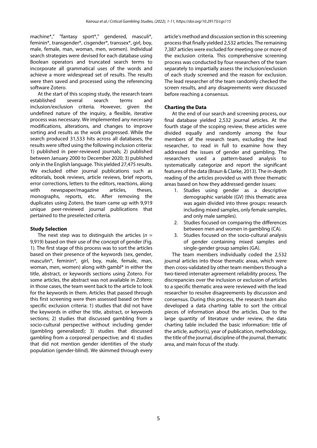machine\*," "fantasy sport\*," gendered, masculi\*, feminin\*, transgender\*, cisgender\*, transsex\*, girl, boy, male, female, man, woman, men, women). Individual search strategies were devised for each database using Boolean operators and truncated search terms to incorporate all grammatical uses of the words and achieve a more widespread set of results. The results were then saved and processed using the referencing software Zotero.

At the start of this scoping study, the research team established several search terms and inclusion/exclusion criteria. However, given the undefined nature of the inquiry, a flexible, iterative process was necessary. We implemented any necessary modifications, alterations, and changes to improve sorting and results as the work progressed. While the search produced 31,533 hits across all databases, the results were sifted using the following inclusion criteria: 1) published in peer-reviewed journals; 2) published between January 2000 to December 2020; 3) published only in the English language. This yielded 27,475 results. We excluded other journal publications such as editorials, book reviews, article reviews, brief reports, error corrections, letters to the editors, reactions, along with newspaper/magazine articles, theses, monographs, reports, etc. After removing the duplicates using Zotero, the team came up with 9,919 unique peer-reviewed journal publications that pertained to the preselected criteria.

## **Study Selection**

The next step was to distinguish the articles  $(n =$ 9,919) based on their use of the concept of gender (Fig. 1). The first stage of this process was to sort the articles based on their presence of the keywords (sex, gender, masculin\*, feminin\*, girl, boy, male, female, man, woman, men, women) along with gambl\* in either the title, abstract, or keywords sections using Zotero. For some articles, the abstract was not available in Zotero; in those cases, the team went back to the article to look for the keywords in them. Articles that passed through this first screening were then assessed based on three specific exclusion criteria: 1) studies that did not have the keywords in either the title, abstract, or keywords sections; 2) studies that discussed gambling from a socio-cultural perspective without including gender (gambling generalized); 3) studies that discussed gambling from a corporeal perspective; and 4) studies that did not mention gender identities of the study population (gender-blind). We skimmed through every article's method and discussion section in this screening process that finally yielded 2,532 articles. The remaining 7,387 articles were excluded for meeting one or more of the exclusion criteria. This comprehensive screening process was conducted by four researchers of the team separately to impartially assess the inclusion/exclusion of each study screened and the reason for exclusion. The lead researcher of the team randomly checked the screen results, and any disagreements were discussed before reaching a consensus.

# **Charting the Data**

At the end of our search and screening process, our final database yielded 2,532 journal articles. At the fourth stage of the scoping review, these articles were divided equally and randomly among the four members of the research team, excluding the lead researcher, to read in full to examine how they addressed the issues of gender and gambling. The researchers used a pattern-based analysis to systematically categorize and report the significant features of the data (Braun & Clarke, 2013). The in-depth reading of the articles provided us with three thematic areas based on how they addressed gender issues:

- 1. Studies using gender as a descriptive demographic variable (GV) (this thematic area was again divided into three groups: research including mixed samples, only female samples, and only male samples).
- 2. Studies focused on comparing the differences between men and women in gambling (CA).
- 3. Studies focused on the socio-cultural analysis of gender containing mixed samples and single-gender group samples (GA).

The team members individually coded the 2,532 journal articles into those thematic areas, which were then cross-validated by other team members through a two-tiered interrater agreement reliability process. The discrepancies over the inclusion or exclusion of articles to a specific thematic area were reviewed with the lead researcher to resolve disagreements by discussion and consensus. During this process, the research team also developed a data charting table to sort the critical pieces of information about the articles. Due to the large quantity of literature under review, the data charting table included the basic information: title of the article, author(s), year of publication, methodology, the title of the journal, discipline of the journal, thematic area, and main focus of the study.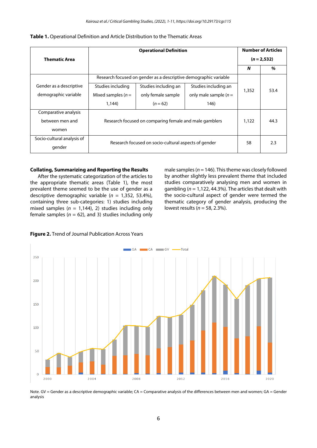|                            |                                                                  | <b>Number of Articles</b> |                         |       |                |  |
|----------------------------|------------------------------------------------------------------|---------------------------|-------------------------|-------|----------------|--|
| <b>Thematic Area</b>       |                                                                  |                           |                         |       | $(n = 2, 532)$ |  |
|                            |                                                                  |                           |                         | N     | %              |  |
|                            | Research focused on gender as a descriptive demographic variable |                           |                         |       |                |  |
| Gender as a descriptive    | Studies including                                                | Studies including an      | Studies including an    |       | 53.4           |  |
| demographic variable       | Mixed samples $(n=$                                              | only female sample        | only male sample $(n =$ | 1,352 |                |  |
|                            | 1.144)                                                           | $(n = 62)$                | 146)                    |       |                |  |
| Comparative analysis       |                                                                  |                           |                         |       |                |  |
| between men and            | Research focused on comparing female and male gamblers           | 1,122                     | 44.3                    |       |                |  |
| women                      |                                                                  |                           |                         |       |                |  |
| Socio-cultural analysis of | Research focused on socio-cultural aspects of gender             | 58                        | 2.3                     |       |                |  |
| gender                     |                                                                  |                           |                         |       |                |  |

#### **Collating, Summarizing and Reporting the Results**

After the systematic categorization of the articles to the appropriate thematic areas (Table 1), the most prevalent theme seemed to be the use of gender as a descriptive demographic variable (*n* = 1,352, 53.4%), containing three sub-categories: 1) studies including mixed samples  $(n = 1,144)$ , 2) studies including only female samples  $(n = 62)$ , and 3) studies including only

male samples ( $n = 146$ ). This theme was closely followed by another slightly less prevalent theme that included studies comparatively analysing men and women in gambling (*n* = 1,122, 44.3%). The articles that dealt with the socio-cultural aspect of gender were termed the thematic category of gender analysis, producing the lowest results (*n* = 58, 2.3%).





Note. GV = Gender as a descriptive demographic variable; CA = Comparative analysis of the differences between men and women; GA = Gender analysis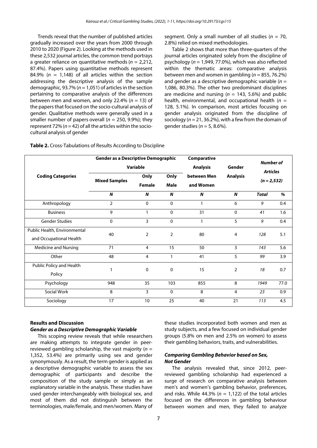Trends reveal that the number of published articles gradually increased over the years from 2000 through 2010 to 2020 (Figure 2). Looking at the methods used in these 2,532 journal articles, the common trend portrays a greater reliance on quantitative methods (*n* = 2,212, 87.4%). Papers using quantitative methods represent 84.9% ( $n = 1,148$ ) of all articles within the section addressing the descriptive analysis of the sample demographic, 93.7% (*n* = 1,051) of articles in the section pertaining to comparative analysis of the differences between men and women, and only 22.4% ( $n = 13$ ) of the papers that focused on the socio-cultural analysis of gender. Qualitative methods were generally used in a smaller number of papers overall ( $n = 250$ , 9.9%); they represent 72% (*n* = 42) of all the articles within the sociocultural analysis of gender

segment. Only a small number of all studies (*n* = 70, 2.8%) relied on mixed methodologies.

Table 2 shows that more than three-quarters of the journal articles originated solely from the discipline of psychology (*n* = 1,949, 77.0%), which was also reflected within the thematic areas: comparative analysis between men and women in gambling  $(n = 855, 76.2%)$ and gender as a descriptive demographic variable (*n* = 1,086, 80.3%). The other two predominant disciplines are medicine and nursing  $(n = 143, 5.6%)$  and public health, environmental, and occupational health (*n* = 128, 5.1%). In comparison, most articles focusing on gender analysis originated from the discipline of sociology (*n* = 21, 36.2%), with a few from the domain of gender studies (*n* = 5, 8.6%).

| <b>Coding Categories</b>     | <b>Gender as a Descriptive Demographic</b><br>Variable |                |                | Comparative<br><b>Analysis</b> | Gender         | <b>Number of</b><br><b>Articles</b> |      |                                          |
|------------------------------|--------------------------------------------------------|----------------|----------------|--------------------------------|----------------|-------------------------------------|------|------------------------------------------|
|                              |                                                        |                |                |                                |                |                                     |      | <b>Mixed Samples</b><br>$\boldsymbol{N}$ |
|                              | $\boldsymbol{N}$                                       | <b>Total</b>   | $\%$           |                                |                |                                     |      |                                          |
|                              | Anthropology                                           | $\overline{2}$ | $\Omega$       | $\Omega$                       | $\mathbf{1}$   | 6                                   | 9    |                                          |
|                              | <b>Business</b>                                        | 9              |                | $\mathbf 0$                    | 31             | 0                                   | 41   | 1.6                                      |
| <b>Gender Studies</b>        | $\mathbf 0$                                            | 3              | $\mathbf 0$    | $\mathbf{1}$                   | 5              | 9                                   | 0.4  |                                          |
| Public Health, Environmental | 40                                                     | $\overline{2}$ | $\overline{2}$ | 80                             | 4              | 128                                 | 5.1  |                                          |
| and Occupational Health      |                                                        |                |                |                                |                |                                     |      |                                          |
| Medicine and Nursing         | 71                                                     | $\overline{4}$ | 15             | 50                             | 3              | 143                                 | 5.6  |                                          |
| Other                        | 48                                                     | $\overline{4}$ | 1              | 41                             | 5              | 99                                  | 3.9  |                                          |
| Public Policy and Health     | 1                                                      | 0              | 0              | 15                             | $\overline{2}$ | 18                                  | 0.7  |                                          |
| Policy                       |                                                        |                |                |                                |                |                                     |      |                                          |
| Psychology                   | 948                                                    | 35             | 103            | 855                            | 8              | 1949                                | 77.0 |                                          |
| Social Work                  | 8                                                      | 3              | $\mathbf{0}$   | 8                              | 4              | 23                                  | 0.9  |                                          |
| Sociology                    | 17                                                     | 10             | 25             | 40                             | 21             | 113                                 | 4.5  |                                          |

**Table 2.** Cross-Tabulations of Results According to Discipline

#### **Results and Discussion**

# *Gender as a Descriptive Demographic Variable*

This scoping review reveals that while researchers are making attempts to integrate gender in peerreviewed gambling scholarship, the vast majority (*n* = 1,352, 53.4%) are primarily using sex and gender synonymously. As a result, the term gender is applied as a descriptive demographic variable to assess the sex demographic of participants and describe the composition of the study sample or simply as an explanatory variable in the analysis. These studies have used gender interchangeably with biological sex, and most of them did not distinguish between the terminologies, male/female, and men/women. Many of

these studies incorporated both women and men as study subjects, and a few focused on individual gender groups (5.8% on men and 2.5% on women) to assess their gambling behaviors, traits, and vulnerabilities.

#### *Comparing Gambling Behavior based on Sex, Not Gender*

The analysis revealed that, since 2012, peerreviewed gambling scholarship had experienced a surge of research on comparative analysis between men's and women's gambling behavior, preferences, and risks. While 44.3% ( $n = 1.122$ ) of the total articles focused on the differences in gambling behaviour between women and men, they failed to analyze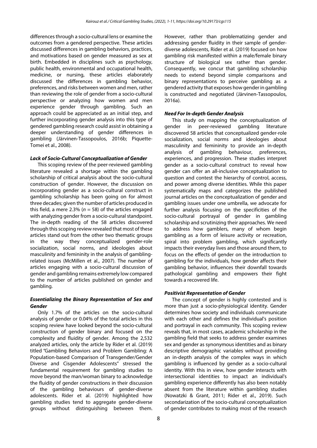differences through a socio-cultural lens or examine the outcomes from a gendered perspective. These articles discussed differences in gambling behaviors, practices, and motivations based on gender measured as sex at birth. Embedded in disciplines such as psychology, public health, environmental and occupational health, medicine, or nursing, these articles elaborately discussed the differences in gambling behavior, preferences, and risks between women and men, rather than reviewing the role of gender from a socio-cultural perspective or analyzing how women and men experience gender through gambling. Such an approach could be appreciated as an initial step, and further incorporating gender analysis into this type of gendered gambling research could assist in obtaining a deeper understanding of gender differences in gambling (Järvinen-Tassopoulos, 2016b; Piquette-Tomei et al., 2008).

## *Lack of Socio-Cultural Conceptualization of Gender*

This scoping review of the peer-reviewed gambling literature revealed a shortage within the gambling scholarship of critical analysis about the socio-cultural construction of gender. However, the discussion on incorporating gender as a socio-cultural construct in gambling scholarship has been going on for almost three decades; given the number of articles produced in this field, a mere 2.3% ( $n = 58$ ) of the articles engaged with analyzing gender from a socio-cultural standpoint. The in-depth reading of the 58 articles discovered through this scoping review revealed that most of these articles stand out from the other two thematic groups in the way they conceptualized gender-role socialization, social norms, and ideologies about masculinity and femininity in the analysis of gamblingrelated issues (McMillen et al., 2007). The number of articles engaging with a socio-cultural discussion of gender and gambling remains extremely low compared to the number of articles published on gender and gambling.

# *Essentializing the Binary Representation of Sex and Gender*

Only 1.7% of the articles on the socio-cultural analysis of gender or 0.04% of the total articles in this scoping review have looked beyond the socio-cultural construction of gender binary and focused on the complexity and fluidity of gender. Among the 2,532 analyzed articles, only the article by Rider et al. (2019) titled *"*Gambling Behaviors and Problem Gambling: A Population-based Comparison of Transgender/Gender Diverse and Cisgender Adolescents" stressed the fundamental requirement for gambling studies to move beyond the man/woman binary to acknowledge the fluidity of gender constructions in their discussion of the gambling behaviours of gender-diverse adolescents. Rider et al. (2019) highlighted how gambling studies tend to aggregate gender-diverse groups without distinguishing between them. However, rather than problematizing gender and addressing gender fluidity in their sample of genderdiverse adolescents, Rider et al. (2019) focused on how gambling risk manifested within a male/female binary structure of biological sex rather than gender. Consequently, we concur that gambling scholarship needs to extend beyond simple comparisons and binary representations to perceive gambling as a gendered activity that exposes how gender in gambling is constructed and negotiated (Järvinen-Tassopoulos, 2016a).

# *Need For In-depth Gender Analysis*

This study on mapping the conceptualization of gender in peer-reviewed gambling literature discovered 58 articles that conceptualized gender-role socialization, social norms and ideologies about masculinity and femininity to provide an in-depth analysis of gambling behaviour, preferences, experiences, and progression. These studies interpret gender as a socio-cultural construct to reveal how gender can offer an all-inclusive conceptualization to question and contest the hierarchy of control, access, and power among diverse identities. While this paper systematically maps and categorizes the published journal articles on the conceptualization of gender and gambling issues under one umbrella, we advocate for further analysis focusing on the specificities of the socio-cultural portrayal of gender in gambling scholarship and scrutinizing their approaches. We need to address how gamblers, many of whom begin gambling as a form of leisure activity or recreation, spiral into problem gambling, which significantly impacts their everyday lives and those around them, to focus on the effects of gender on the introduction to gambling for the individuals, how gender affects their gambling behavior, influences their downfall towards pathological gambling and empowers their fight towards a recovered life.

# *Positivist Representation of Gender*

The concept of gender is highly contested and is more than just a socio-physiological identity. Gender determines how society and individuals communicate with each other and defines the individual's position and portrayal in each community. This scoping review reveals that, in most cases, academic scholarship in the gambling field that seeks to address gender examines sex and gender as synonymous identities and as binary descriptive demographic variables without providing an in-depth analysis of the complex ways in which gambling is influenced by gender as a socio-cultural identity. With this in view, how gender interacts with intersectional identities to impact an individual's gambling experience differently has also been notably absent from the literature within gambling studies (Nowatzki & Grant, 2011; Rider et al., 2019). Such secondarization of the socio-cultural conceptualization of gender contributes to making most of the research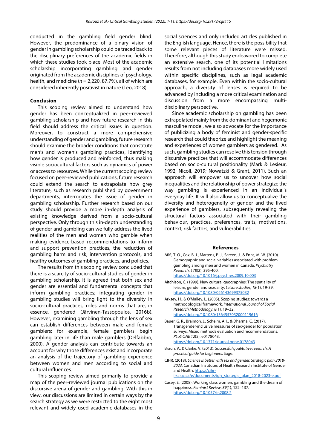conducted in the gambling field gender blind. However, the predominance of a binary vision of gender in gambling scholarship could be traced back to the disciplinary preferences of the academic fields in which these studies took place. Most of the academic scholarship incorporating gambling and gender originated from the academic disciplines of psychology, health, and medicine (*n* = 2,220, 87.7%), all of which are considered inherently positivist in nature (Teo, 2018).

#### **Conclusion**

This scoping review aimed to understand how gender has been conceptualized in peer-reviewed gambling scholarship and how future research in this field should address the critical issues in question. Moreover, to construct a more comprehensive understanding of gender and gambling, future research should examine the broader conditions that constitute men's and women's gambling practices, identifying how gender is produced and reinforced, thus making visible sociocultural factors such as dynamics of power or access to resources. While the current scoping review focused on peer-reviewed publications, future research could extend the search to extrapolate how grey literature, such as research published by government departments, interrogates the issue of gender in gambling scholarship. Further research based on our study should provide a more in-depth analysis of existing knowledge derived from a socio-cultural perspective. Only through this in-depth understanding of gender and gambling can we fully address the lived realities of the men and women who gamble when making evidence-based recommendations to inform and support prevention practices, the reduction of gambling harm and risk, intervention protocols, and healthy outcomes of gambling practices, and policies.

The results from this scoping review concluded that there is a scarcity of socio-cultural studies of gender in gambling scholarship. It is agreed that both sex and gender are essential and fundamental concepts that inform gambling practices; integrating gender in gambling studies will bring light to the diversity in socio-cultural practices, roles and norms that are, in essence, gendered (Järvinen-Tassopoulos, 2016b). However, examining gambling through the lens of sex can establish differences between male and female gamblers; for example, female gamblers begin gambling later in life than male gamblers (Delfabbro, 2000). A gender analysis can contribute towards an account for why those differences exist and incorporate an analysis of the trajectory of gambling experience between women and men according to social and cultural influences.

This scoping review aimed primarily to provide a map of the peer-reviewed journal publications on the discursive arena of gender and gambling. With this in view, our discussions are limited in certain ways by the search strategy as we were restricted to the eight most relevant and widely used academic databases in the social sciences and only included articles published in the English language. Hence, there is the possibility that some relevant pieces of literature were missed. Therefore, although this study endeavored to complete an extensive search, one of its potential limitations results from not including databases more widely used within specific disciplines, such as legal academic databases, for example. Even within the socio-cultural approach, a diversity of lenses is required to be advanced by including a more critical examination and discussion from a more encompassing multidisciplinary perspective.

Since academic scholarship on gambling has been extrapolated mainly from the dominant and hegemonic masculine model, we also advocate for the importance of publicizing a body of feminist and gender-specific research that could theorize and highlight the meaning and experiences of women gamblers as gendered. As such, gambling studies can resolve this tension through discursive practices that will accommodate differences based on socio-cultural positionality (Mark & Lesieur, 1992; Nicoll, 2019; Nowatzki & Grant, 2011). Such an approach will empower us to uncover how social inequalities and the relationship of power strategize the way gambling is experienced in an individual's everyday life. It will also allow us to conceptualize the diversity and heterogeneity of gender and the lived experience of gamblers, subsequently revealing the structural factors associated with their gambling behaviour, practices, preferences, traits, motivations, context, risk factors, and vulnerabilities.

#### **References**

- Afifi, T. O., Cox, B. J., Martens, P. J., Sareen, J., & Enns, M. W. (2010). Demographic and social variables associated with problem gambling among men and women in Canada. *Psychiatry Research*, *178*(2), 395-400. <https://doi.org/10.1016/j.psychres.2009.10.003>
- Aitchison, C. (1999). New cultural geographies: The spatiality of leisure, gender and sexuality. *Leisure studies*, *18*(1), 19-39. <https://doi.org/10.1080/026143699375032>
- Arksey, H., & O'Malley, L. (2005). Scoping studies: towards a methodological framework. *International Journal of Social Research Methodology*, *8*(1), 19–32. <https://doi.org/10.1080/1364557032000119616>
- Bauer, G. R., Braimoh, J., Scheim, A. I., & Dharma, C. (2017). Transgender-inclusive measures of sex/gender for population surveys: Mixed methods evaluation and recommendations. *PLoS ONE 12*(5), e0178043. <https://doi.org/10.1371/journal.pone.0178043>
- Braun, V., & Clarke, V. (2013). *Successful qualitative research: A practical guide for beginners*. Sage.
- CIHR. (2018). *Science is better with sex and gender: Strategic plan 2018- 2023.* Canadian Institutes of Health Research Institute of Gender and Health[. https://cihr](https://cihr-irsc.gc.ca/e/documents/igh_strategic_plan_2018-2023-e.pdf)[irsc.gc.ca/e/documents/igh\\_strategic\\_plan\\_2018-2023-e.pdf](https://cihr-irsc.gc.ca/e/documents/igh_strategic_plan_2018-2023-e.pdf)

Casey, E. (2008). Working class women, gambling and the dream of

happiness. *Feminist Review*, *89*(1), 122–137. <https://doi.org/10.1057/fr.2008.2>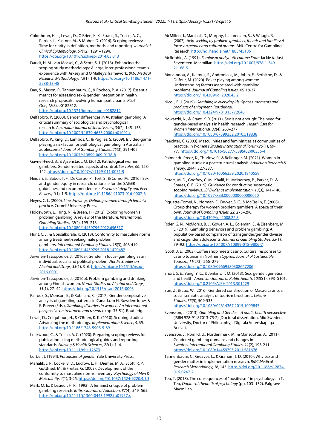Colquhoun, H. L., Levac, D., O'Brien, K. K., Straus, S., Tricco, A. C., Perrier, L., Kastner, M., & Moher, D. (2014). Scoping reviews: Time for clarity in definition, methods, and reporting. *Journal of Clinical Epidemiology*, *67*(12), 1291–1294. <https://doi.org/10.1016/j.jclinepi.2014.03.013>

- Daudt, H. M., van Mossel, C., & Scott, S. J. (2013). Enhancing the scoping study methodology: A large, inter-professional team's experience with Arksey and O'Malley's framework. *BMC Medical Research Methodology*, *13*(1), 1-9[. https://doi.org/10.1186/1471-](https://doi.org/10.1186/1471-2288-13-48) [2288-13-48](https://doi.org/10.1186/1471-2288-13-48)
- Day, S., Mason, R., Tannenbaum, C., & Rochon, P. A. (2017). Essential metrics for assessing sex & gender integration in health research proposals involving human participants. *PLoS One*, *12*(8), e0182812. <https://doi.org/10.1371/journal.pone.0182812>
- Delfabbro, P. (2000). Gender differences in Australian gambling: A critical summary of sociological and psychological research. *Australian Journal of Social Issues*, *35*(2), 145–158. <https://doi.org/10.1002/j.1839-4655.2000.tb01091.x>
- Delfabbro, P., King, D., Lambos, C., & Puglies, S. (2009). Is video-game playing a risk factor for pathological gambling in Australian adolescents? *Journal of Gambling Studies*, *25*(3), 391-405. <https://doi.org/10.1007/s10899-009-9138-8>
- Gavriel-Fried, B., & Ajzenstadt, M. (2012). Pathological women gamblers: Gender-related aspects of control. *Sex roles*, *66*, 128- 142[. https://doi.org/10.1007/s11199-011-0071-9](https://doi.org/10.1007/s11199-011-0071-9)
- Heidari, S., Babor, T. F., De Castro, P., Tort, S., & Curno, M. (2016). Sex and gender equity in research: rationale for the SAGER guidelines and recommended use. *Research Integrity and Peer Review*, *1*(1), 1-9[. https://doi.org/10.1186/s41073-016-0007-6](https://doi.org/10.1186/s41073-016-0007-6)
- Heyes, C. L. (2000). *Line drawings: Defining women through feminist practice*. Cornell University Press.
- Holdsworth, L., Hing, N., & Breen, H. (2012). Exploring women's problem gambling: A review of the literature. *International Gambling Studies, 12*(2), 199–213. <https://doi.org/10.1080/14459795.2012.656317>
- Hunt, C. J., & Gonsalkorale, K. (2018). Conformity to masculine norms among treatment-seeking male problem gamblers. *International Gambling Studies*, *18*(3), 408-419. <https://doi.org/10.1080/14459795.2018.1429482>
- Järvinen-Tassopoulos, J. (2016a). Gender in focus–gambling as an individual, social and political problem. *Nordic Studies on Alcohol and Drugs, 33*(1), 3–6[. https://doi.org/10.1515/nsad-](https://doi.org/10.1515/nsad-2016-0001)[2016-0001](https://doi.org/10.1515/nsad-2016-0001)
- Järvinen-Tassopoulos, J. (2016b). Problem gambling and drinking among Finnish women. *Nordic Studies on Alcohol and Drugs, 33*(1), 27–42[. https://doi.org/10.1515/nsad-2016-0003](https://doi.org/10.1515/nsad-2016-0003)
- Kairouz, S., Monson, E., & Robillard, C. (2017). Gender comparative analysis of gambling patterns in Canada. In H. Bowden-Jones & F. Prever (Eds.), *Gambling disorders in women: An international perspective on treatment and research* (pp. 35-51). Routledge.
- Levac, D., Colquhoun, H., & O'Brien, K. K. (2010). Scoping studies: Advancing the methodology. *Implementation Science*, *5,* 69. <https://doi.org/10.1186/1748-5908-5-69>
- Lockwood, C., & Tricco, A. C. (2020). Preparing scoping reviews for publication using methodological guides and reporting standards. *Nursing & Health Sciences, 22*(1), 1–4. <https://doi.org/10.1111/nhs.12673>
- Lorber, J. (1994). *Paradoxes of gender.* Yale University Press.
- Mahalik, J. R., Locke, B. D., Ludlow, L. H., Diemer, M. A., Scott, R. P., Gottfried, M., & Freitas, G. (2003). Development of the conformity to masculine norms inventory. *Psychology of Men & Masculinity*, *4*(1), 3-25[. https://doi.org/10.1037/1524-9220.4.1.3](https://doi.org/10.1037/1524-9220.4.1.3)
- Mark, M. E., & Lesieur, H. R. (1992). A feminist critique of problem gambling research. *British Journal of Addiction*, *87*(4), 549–565. <https://doi.org/10.1111/j.1360-0443.1992.tb01957.x>
- McMillen, J., Marshall, D., Murphy, L., Lorenzen, S., & Waugh, B. (2007). *Help-seeking by problem gamblers, friends and families: A focus on gender and cultural groups*. ANU Centre for Gambling Research[. http://hdl.handle.net/1885/45186](http://hdl.handle.net/1885/45186)
- McRobbie, A. (1991). *Feminism and youth culture: From* Jackie *to* Just Seventeen. Macmillan[. https://doi.org/10.1007/978-1-349-](https://doi.org/10.1007/978-1-349-21168-5) [21168-5](https://doi.org/10.1007/978-1-349-21168-5)
- Morvannou, A., Kairouz, S., Andronicos, M., Jobin, E., Berbiche, D., & Dufour, M. (2020). Poker playing among women: Understanding factors associated with gambling problems. *Journal of Gambling Issues*, *45,* 18-37. <https://doi.org/10.4309/jgi.2020.45.2>
- Nicoll, F. J. (2019). *Gambling in everyday life: Spaces, moments and products of enjoyment*. Routledge. <https://doi.org/10.4324/9781315772646>
- Nowatzki, N., & Grant, K. R. (2011). Sex is not enough: The need for gender-based analysis in health research. *Health Care for Women International, 32*(4), 263–277. <https://doi.org/10.1080/07399332.2010.519838>
- Paechter, C. (2003). Masculinities and femininities as communities of practice. In *Women's Studies International Forum 26* (1), 69- 77. [https://doi.org/10.1016/S0277-5395\(02\)00356-4](https://doi.org/10.1016/S0277-5395(02)00356-4)
- Palmer du Preez, K., Thurlow, R., & Bellringer, M. (2021). Women in gambling studies: a poststructural analysis. *Addiction Research & Theory*, *29*(4), 327-337. <https://doi.org/10.1080/16066359.2020.1840559>
- Peters, M. D., Godfrey, C. M., Khalil, H., McInerney, P., Parker, D., & Soares, C. B. (2015). Guidance for conducting systematic scoping reviews. *JBI Evidence Implementation*, *13*(3), 141–146. <https://doi.org/10.1097/XEB.0000000000000050>
- Piquette-Tomei, N., Norman, E., Dwyer, S. C., & McCaslin, E. (2008). Group therapy for women problem gamblers: A space of their own. *Journal of Gambling Issues, 22,* 275–296. <https://doi.org/10.4309/jgi.2008.22.8>
- Rider, G. N., McMorris, B. J., Gower, A. L., Coleman, E., & Eisenberg, M. E. (2019). Gambling behaviors and problem gambling: A population-based comparison of transgender/gender diverse and cisgender adolescents. *Journal of Gambling Studies*, *35*(1), 79–92.<https://doi.org/10.1007/s10899-018-9806-7>
- Scott, J. E. (2003). Coffee shop meets casino: Cultural responses to casino tourism in Northern Cyprus. *Journal of Sustainable Tourism*, *11*(2/3), 266–279. <https://doi.org/10.1080/09669580308667206>
- Short, S. E., Yang, Y. C., & Jenkins, T. M. (2013). Sex, gender, genetics, and health. *American Journal of Public Health*, *103*(S1), S93–S101. <https://doi.org/10.2105/AJPH.2013.301229>

Sun, Z., & Luo, W. (2016). Gendered construction of Macau casino: a social semiotic analysis of tourism brochures. *Leisure Studies*, *35*(5), 509-533. <https://doi.org/10.1080/02614367.2015.1009847>

- Svensson, J. (2013). *Gambling and Gender – A public health perspective* (ISBN 978-91-87013-75-2) [Doctoral dissertation, Mid Sweden University, Doctor of Philosophy]. Digitala Vetenskapliga Arkivet.
- Svensson, J., Romild, U., Nordenmark, M., & Månsdotter, A. (2011). Gendered gambling domains and changes in Sweden. *International Gambling Studies*, *11*(2), 193-211. <https://doi.org/10.1080/14459795.2011.581676>
- Tannenbaum, C., Greaves, L., & Graham, I. D. (2016). Why sex and gender matter in implementation research. *BMC Medical Research Methodology, 16,* 145. [https://doi.org/10.1186/s12874-](https://doi.org/10.1186/s12874-016-0247-7) [016-0247-7](https://doi.org/10.1186/s12874-016-0247-7)
- Teo, T. (2018). The consequences of "positivism" in psychology. In T. Teo, *Outline of theoretical psychology* (pp. 103–132). Palgrave Macmillan.